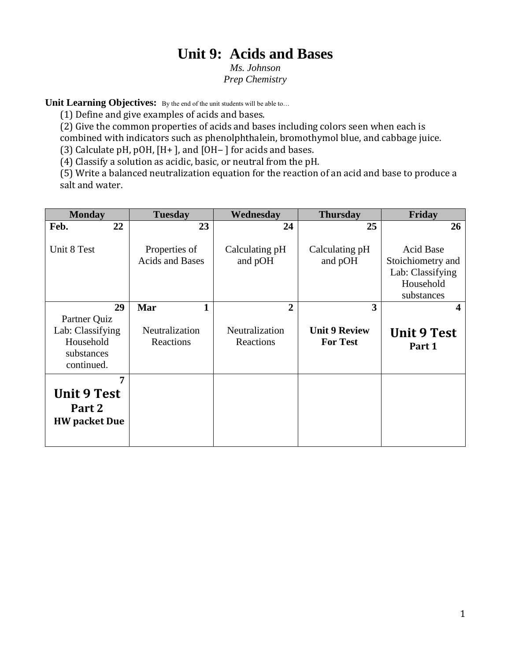# **Unit 9: Acids and Bases**

*Ms. Johnson Prep Chemistry*

**Unit Learning Objectives:** By the end of the unit students will be able to...

(1) Define and give examples of acids and bases.

(2) Give the common properties of acids and bases including colors seen when each is combined with indicators such as phenolphthalein, bromothymol blue, and cabbage juice.

(3) Calculate pH, pOH,  $[H+]$ , and  $[OH-]$  for acids and bases.

(4) Classify a solution as acidic, basic, or neutral from the pH.

(5) Write a balanced neutralization equation for the reaction of an acid and base to produce a salt and water.

| <b>Monday</b>        | <b>Tuesday</b>                          | Wednesday                 | <b>Thursday</b>           | Friday                                                                               |
|----------------------|-----------------------------------------|---------------------------|---------------------------|--------------------------------------------------------------------------------------|
| 22<br>Feb.           | 23                                      | 24                        | 25                        | 26                                                                                   |
| Unit 8 Test          | Properties of<br><b>Acids and Bases</b> | Calculating pH<br>and pOH | Calculating pH<br>and pOH | <b>Acid Base</b><br>Stoichiometry and<br>Lab: Classifying<br>Household<br>substances |
| 29                   | Mar<br>1                                | $\overline{2}$            | 3                         | 4                                                                                    |
| Partner Quiz         |                                         |                           |                           |                                                                                      |
| Lab: Classifying     | Neutralization                          | Neutralization            | <b>Unit 9 Review</b>      | <b>Unit 9 Test</b>                                                                   |
| Household            | Reactions                               | Reactions                 | <b>For Test</b>           | Part 1                                                                               |
| substances           |                                         |                           |                           |                                                                                      |
| continued.           |                                         |                           |                           |                                                                                      |
| 7                    |                                         |                           |                           |                                                                                      |
| <b>Unit 9 Test</b>   |                                         |                           |                           |                                                                                      |
| Part 2               |                                         |                           |                           |                                                                                      |
| <b>HW</b> packet Due |                                         |                           |                           |                                                                                      |
|                      |                                         |                           |                           |                                                                                      |
|                      |                                         |                           |                           |                                                                                      |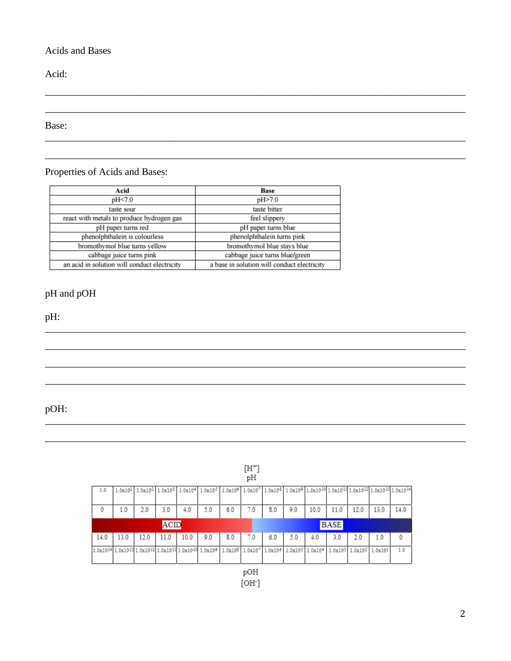#### Acids and Bases

Acid:

Base:

## Properties of Acids and Bases:

| Acid                                         | <b>Base</b>                                 |  |  |  |  |
|----------------------------------------------|---------------------------------------------|--|--|--|--|
| pH<7.0                                       | pH>7.0                                      |  |  |  |  |
| taste sour                                   | taste bitter                                |  |  |  |  |
| react with metals to produce hydrogen gas    | feel slippery                               |  |  |  |  |
| pH paper turns red                           | pH paper turns blue                         |  |  |  |  |
| phenolphthalein is colourless                | phenolphthalein turns pink                  |  |  |  |  |
| bromothymol blue turns yellow                | bromothymol blue stays blue                 |  |  |  |  |
| cabbage juice turns pink                     | cabbage juice turns blue/green              |  |  |  |  |
| an acid in solution will conduct electricity | a base in solution will conduct electricity |  |  |  |  |

## pH and pOH

pH:

pOH:

|             |      |                                                                                                                              |      |      |                                                                                                                                                                                                                                                                                                                                                                    |                             | $[H^+]$<br>pH |                 |     |         |      |                         |      |      |
|-------------|------|------------------------------------------------------------------------------------------------------------------------------|------|------|--------------------------------------------------------------------------------------------------------------------------------------------------------------------------------------------------------------------------------------------------------------------------------------------------------------------------------------------------------------------|-----------------------------|---------------|-----------------|-----|---------|------|-------------------------|------|------|
| 1.0         |      |                                                                                                                              |      |      | $1.0x10^{1} \left[ \right. 1.0x10^{2} \left[ \right. 1.0x10^{3} \left[ \right. 1.0x10^{4} \left[ \right. 1.0x10^{5} \left[ \right. 1.0x10^{5} \left[ \right. 1.0x10^{7} \left[ \right. 1.0x10^{3} \left[ \right. 1.0x10^{9} \left[ \right. 1.0x10^{10} \left[ \right. 1.0x10^{11} \right] \right. 1.0x10^{12} \left[ \right. 1.0x10^{13} \left[ \right. 1.0x10^{1$ |                             |               |                 |     |         |      |                         |      |      |
|             |      |                                                                                                                              |      |      |                                                                                                                                                                                                                                                                                                                                                                    |                             |               |                 |     |         |      |                         |      |      |
| 0           | 1.0  | 2.0                                                                                                                          | 3.0  | 4.0  | 5.0                                                                                                                                                                                                                                                                                                                                                                | 6.0                         | 7.0           | 8.0             | 9.0 | 10.0    | 11.0 | 12.0                    | 13.0 | 14.0 |
| <b>ACID</b> |      |                                                                                                                              |      |      |                                                                                                                                                                                                                                                                                                                                                                    |                             | <b>BASE</b>   |                 |     |         |      |                         |      |      |
|             |      |                                                                                                                              |      |      |                                                                                                                                                                                                                                                                                                                                                                    |                             |               |                 |     |         |      |                         |      |      |
| 14.0        | 13.0 | 12.0                                                                                                                         | 11.0 | 10.0 | 9.0                                                                                                                                                                                                                                                                                                                                                                | 8.0                         | 7.0           | 6.0             | 5.0 | 4.0     | 3.0  | 2.0                     | 1.0  |      |
|             |      | 1.0x10 <sup>14</sup> 1.0x10 <sup>13</sup> 1.0x10 <sup>12</sup> 1.0x10 <sup>11</sup> 1.0x10 <sup>10</sup> 1.0x10 <sup>9</sup> |      |      |                                                                                                                                                                                                                                                                                                                                                                    | 1.0x10 <sup>5</sup> 1.0x107 |               | 1.0x106 1.0x105 |     | 1.0x104 |      | 1.0x103 1.0x102 1.0x101 |      | 1.0  |

 $[OH<sup>-</sup>]$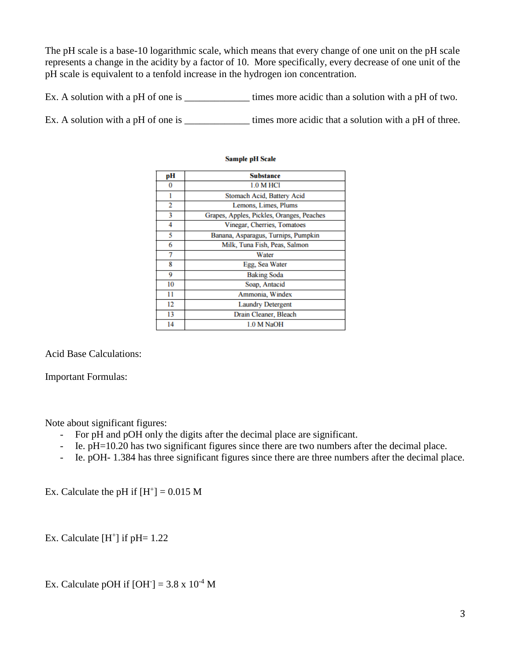The pH scale is a base-10 logarithmic scale, which means that every change of one unit on the pH scale represents a change in the acidity by a factor of 10. More specifically, every decrease of one unit of the pH scale is equivalent to a tenfold increase in the hydrogen ion concentration.

Ex. A solution with a pH of one is \_\_\_\_\_\_\_\_\_\_\_\_\_\_\_\_ times more acidic than a solution with a pH of two.

Ex. A solution with a pH of one is times more acidic that a solution with a pH of three.

| pН | <b>Substance</b>                          |  |  |  |  |  |
|----|-------------------------------------------|--|--|--|--|--|
| 0  | <b>1.0 M HCl</b>                          |  |  |  |  |  |
|    | Stomach Acid, Battery Acid                |  |  |  |  |  |
| 2  | Lemons, Limes, Plums                      |  |  |  |  |  |
| 3  | Grapes, Apples, Pickles, Oranges, Peaches |  |  |  |  |  |
| 4  | Vinegar, Cherries, Tomatoes               |  |  |  |  |  |
| 5  | Banana, Asparagus, Turnips, Pumpkin       |  |  |  |  |  |
| 6  | Milk, Tuna Fish, Peas, Salmon             |  |  |  |  |  |
| 7  | Water                                     |  |  |  |  |  |
| 8  | Egg, Sea Water                            |  |  |  |  |  |
| 9  | <b>Baking Soda</b>                        |  |  |  |  |  |
| 10 | Soap, Antacid                             |  |  |  |  |  |
| 11 | Ammonia, Windex                           |  |  |  |  |  |
| 12 | <b>Laundry Detergent</b>                  |  |  |  |  |  |
| 13 | Drain Cleaner, Bleach                     |  |  |  |  |  |
| 14 | 1.0 M NaOH                                |  |  |  |  |  |

#### **Sample pH Scale**

Acid Base Calculations:

Important Formulas:

Note about significant figures:

- For pH and pOH only the digits after the decimal place are significant.
- Ie. pH=10.20 has two significant figures since there are two numbers after the decimal place.
- Ie. pOH- 1.384 has three significant figures since there are three numbers after the decimal place.

Ex. Calculate the pH if  $[H^+] = 0.015 M$ 

Ex. Calculate  $[H^+]$  if pH= 1.22

Ex. Calculate pOH if  $[OH^-] = 3.8 \times 10^{-4}$  M